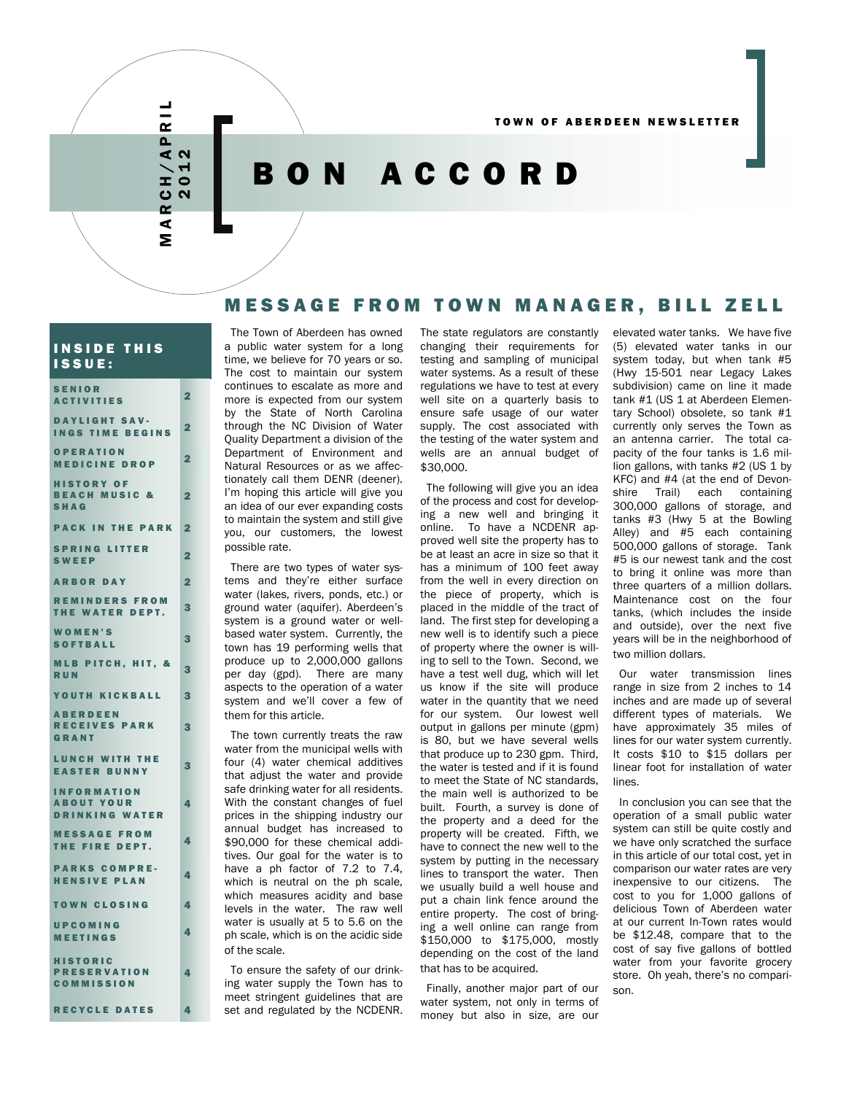# MARCH/APRIL RCH/APR<br>2012 ⋖

Σ

 $\frac{1}{R}$ 

# BON ACCORD

# MESSAGE FROM TOWN MANAGER, BILL ZELL

#### INSIDE THIS ISSUE:

| <b>SENIOR</b><br><b>ACTIVITIES</b>                               | $\overline{\mathbf{2}}$ |
|------------------------------------------------------------------|-------------------------|
| <b>DAYLIGHT SAV-</b><br><b>INGS TIME BEGINS</b>                  | $\overline{\mathbf{2}}$ |
| <b>OPERATION</b><br><b>MEDICINE DROP</b>                         | $\overline{\mathbf{2}}$ |
| <b>HISTORY OF</b><br><b>BEACH MUSIC &amp;</b><br><b>SHAG</b>     | 2                       |
| <b>PACK IN THE PARK</b>                                          | $\overline{2}$          |
| <b>SPRING LITTER</b><br><b>SWEEP</b>                             | $\overline{2}$          |
| <b>ARBOR DAY</b>                                                 | 2                       |
| <b>REMINDERS FROM</b><br>THE WATER DEPT.                         | 3                       |
| <b>WOMEN'S</b><br><b>SOFTBALL</b>                                | 3                       |
| <b>MLB PITCH, HIT, &amp;</b><br><b>RUN</b>                       | 3                       |
| YOUTH KICKBALL                                                   | 3                       |
| <b>ABERDEEN</b><br><b>RECEIVES PARK</b><br>GRANT                 | 3                       |
| <b>LUNCH WITH THE</b><br><b>EASTER BUNNY</b>                     | 3                       |
| <b>INFORMATION</b><br><b>ABOUT YOUR</b><br><b>DRINKING WATER</b> | 4                       |
| <b>MESSAGE FROM</b><br>THE FIRE DEPT.                            | 4                       |
| <b>PARKS COMPRE-</b><br><b>HENSIVE PLAN</b>                      | 4                       |
| <b>TOWN CLOSING</b>                                              | 4                       |
| UPCOMING<br><b>MEETINGS</b>                                      | 4                       |
| <b>HISTORIC</b><br><b>PRESERVATION</b><br><b>COMMISSION</b>      | 4                       |
| <b>RECYCLE DATES</b>                                             | 4                       |

The Town of Aberdeen has owned a public water system for a long time, we believe for 70 years or so. The cost to maintain our system continues to escalate as more and more is expected from our system by the State of North Carolina through the NC Division of Water Quality Department a division of the Department of Environment and Natural Resources or as we affectionately call them DENR (deener). I'm hoping this article will give you an idea of our ever expanding costs to maintain the system and still give you, our customers, the lowest possible rate.

There are two types of water systems and they're either surface water (lakes, rivers, ponds, etc.) or ground water (aquifer). Aberdeen's system is a ground water or wellbased water system. Currently, the town has 19 performing wells that produce up to 2,000,000 gallons per day (gpd). There are many aspects to the operation of a water system and we'll cover a few of them for this article.

The town currently treats the raw water from the municipal wells with four (4) water chemical additives that adjust the water and provide safe drinking water for all residents. With the constant changes of fuel prices in the shipping industry our annual budget has increased to \$90,000 for these chemical additives. Our goal for the water is to have a ph factor of 7.2 to 7.4, which is neutral on the ph scale, which measures acidity and base levels in the water. The raw well water is usually at 5 to 5.6 on the ph scale, which is on the acidic side of the scale.

To ensure the safety of our drinking water supply the Town has to meet stringent guidelines that are set and regulated by the NCDENR.

The state regulators are constantly changing their requirements for testing and sampling of municipal water systems. As a result of these regulations we have to test at every well site on a quarterly basis to ensure safe usage of our water supply. The cost associated with the testing of the water system and wells are an annual budget of \$30,000.

The following will give you an idea of the process and cost for developing a new well and bringing it online. To have a NCDENR approved well site the property has to be at least an acre in size so that it has a minimum of 100 feet away from the well in every direction on the piece of property, which is placed in the middle of the tract of land. The first step for developing a new well is to identify such a piece of property where the owner is willing to sell to the Town. Second, we have a test well dug, which will let us know if the site will produce water in the quantity that we need for our system. Our lowest well output in gallons per minute (gpm) is 80, but we have several wells that produce up to 230 gpm. Third, the water is tested and if it is found to meet the State of NC standards, the main well is authorized to be built. Fourth, a survey is done of the property and a deed for the property will be created. Fifth, we have to connect the new well to the system by putting in the necessary lines to transport the water. Then we usually build a well house and put a chain link fence around the entire property. The cost of bringing a well online can range from \$150,000 to \$175,000, mostly depending on the cost of the land that has to be acquired.

Finally, another major part of our water system, not only in terms of money but also in size, are our

elevated water tanks. We have five (5) elevated water tanks in our system today, but when tank #5 (Hwy 15-501 near Legacy Lakes subdivision) came on line it made tank #1 (US 1 at Aberdeen Elementary School) obsolete, so tank #1 currently only serves the Town as an antenna carrier. The total capacity of the four tanks is 1.6 million gallons, with tanks #2 (US 1 by KFC) and #4 (at the end of Devonshire Trail) each containing 300,000 gallons of storage, and tanks #3 (Hwy 5 at the Bowling Alley) and #5 each containing 500,000 gallons of storage. Tank #5 is our newest tank and the cost to bring it online was more than three quarters of a million dollars. Maintenance cost on the four tanks, (which includes the inside and outside), over the next five years will be in the neighborhood of two million dollars.

Our water transmission lines range in size from 2 inches to 14 inches and are made up of several different types of materials. We have approximately 35 miles of lines for our water system currently. It costs \$10 to \$15 dollars per linear foot for installation of water lines.

In conclusion you can see that the operation of a small public water system can still be quite costly and we have only scratched the surface in this article of our total cost, yet in comparison our water rates are very inexpensive to our citizens. The cost to you for 1,000 gallons of delicious Town of Aberdeen water at our current In-Town rates would be \$12.48, compare that to the cost of say five gallons of bottled water from your favorite grocery store. Oh yeah, there's no comparison.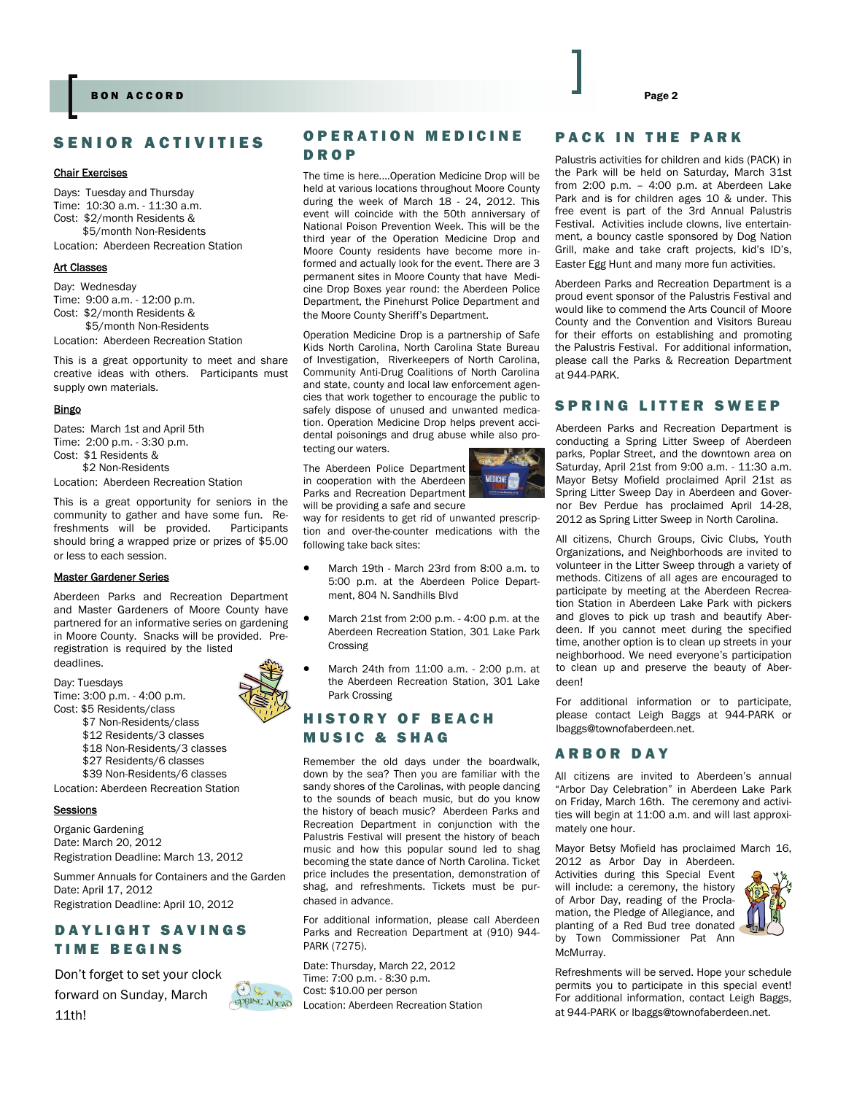# SENIOR ACTIVITIES

#### Chair Exercises

Days: Tuesday and Thursday Time: 10:30 a.m. - 11:30 a.m. Cost: \$2/month Residents & \$5/month Non-Residents

Location: Aberdeen Recreation Station

#### Art Classes

Day: Wednesday Time: 9:00 a.m. - 12:00 p.m. Cost: \$2/month Residents & \$5/month Non-Residents Location: Aberdeen Recreation Station

This is a great opportunity to meet and share creative ideas with others. Participants must supply own materials.

#### Bingo

Dates: March 1st and April 5th Time: 2:00 p.m. - 3:30 p.m. Cost: \$1 Residents & \$2 Non-Residents

Location: Aberdeen Recreation Station

This is a great opportunity for seniors in the community to gather and have some fun. Refreshments will be provided. Participants should bring a wrapped prize or prizes of \$5.00 or less to each session.

#### Master Gardener Series

Aberdeen Parks and Recreation Department and Master Gardeners of Moore County have partnered for an informative series on gardening in Moore County. Snacks will be provided. Preregistration is required by the listed deadlines.

Day: Tuesdays Time: 3:00 p.m. - 4:00 p.m. Cost: \$5 Residents/class

- \$7 Non-Residents/class
- \$12 Residents/3 classes
- \$18 Non-Residents/3 classes
- \$27 Residents/6 classes
- \$39 Non-Residents/6 classes

Location: Aberdeen Recreation Station

#### **Sessions**

Organic Gardening Date: March 20, 2012 Registration Deadline: March 13, 2012

Summer Annuals for Containers and the Garden Date: April 17, 2012 Registration Deadline: April 10, 2012

# DAYLIGHT SAVINGS TIME BEGINS

Don't forget to set your clock forward on Sunday, March 11th!



**SPRING Abead** 

### OPERATION MEDICINE DROP

The time is here....Operation Medicine Drop will be held at various locations throughout Moore County during the week of March 18 - 24, 2012. This event will coincide with the 50th anniversary of National Poison Prevention Week. This will be the third year of the Operation Medicine Drop and Moore County residents have become more informed and actually look for the event. There are 3 permanent sites in Moore County that have Medicine Drop Boxes year round: the Aberdeen Police Department, the Pinehurst Police Department and the Moore County Sheriff's Department.

Operation Medicine Drop is a partnership of Safe Kids North Carolina, North Carolina State Bureau of Investigation, Riverkeepers of North Carolina, Community Anti-Drug Coalitions of North Carolina and state, county and local law enforcement agencies that work together to encourage the public to safely dispose of unused and unwanted medication. Operation Medicine Drop helps prevent accidental poisonings and drug abuse while also protecting our waters.

The Aberdeen Police Department in cooperation with the Aberdeen Parks and Recreation Department will be providing a safe and secure



way for residents to get rid of unwanted prescription and over-the-counter medications with the following take back sites:

- March 19th March 23rd from 8:00 a.m. to 5:00 p.m. at the Aberdeen Police Department, 804 N. Sandhills Blvd
- March 21st from 2:00 p.m. 4:00 p.m. at the Aberdeen Recreation Station, 301 Lake Park Crossing
- March 24th from 11:00 a.m. 2:00 p.m. at the Aberdeen Recreation Station, 301 Lake Park Crossing

# HISTORY OF BEACH MUSIC & SHAG

Remember the old days under the boardwalk, down by the sea? Then you are familiar with the sandy shores of the Carolinas, with people dancing to the sounds of beach music, but do you know the history of beach music? Aberdeen Parks and Recreation Department in conjunction with the Palustris Festival will present the history of beach music and how this popular sound led to shag becoming the state dance of North Carolina. Ticket price includes the presentation, demonstration of shag, and refreshments. Tickets must be purchased in advance.

For additional information, please call Aberdeen Parks and Recreation Department at (910) 944- PARK (7275).

Date: Thursday, March 22, 2012 Time: 7:00 p.m. - 8:30 p.m. Cost: \$10.00 per person Location: Aberdeen Recreation Station

# PACK IN THE PARK

Palustris activities for children and kids (PACK) in the Park will be held on Saturday, March 31st from 2:00 p.m. – 4:00 p.m. at Aberdeen Lake Park and is for children ages 10 & under. This free event is part of the 3rd Annual Palustris Festival. Activities include clowns, live entertainment, a bouncy castle sponsored by Dog Nation Grill, make and take craft projects, kid's ID's, Easter Egg Hunt and many more fun activities.

Aberdeen Parks and Recreation Department is a proud event sponsor of the Palustris Festival and would like to commend the Arts Council of Moore County and the Convention and Visitors Bureau for their efforts on establishing and promoting the Palustris Festival. For additional information, please call the Parks & Recreation Department at 944-PARK.

#### SPRING LITTER SWEEP

Aberdeen Parks and Recreation Department is conducting a Spring Litter Sweep of Aberdeen parks, Poplar Street, and the downtown area on Saturday, April 21st from 9:00 a.m. - 11:30 a.m. Mayor Betsy Mofield proclaimed April 21st as Spring Litter Sweep Day in Aberdeen and Governor Bev Perdue has proclaimed April 14-28, 2012 as Spring Litter Sweep in North Carolina.

All citizens, Church Groups, Civic Clubs, Youth Organizations, and Neighborhoods are invited to volunteer in the Litter Sweep through a variety of methods. Citizens of all ages are encouraged to participate by meeting at the Aberdeen Recreation Station in Aberdeen Lake Park with pickers and gloves to pick up trash and beautify Aberdeen. If you cannot meet during the specified time, another option is to clean up streets in your neighborhood. We need everyone's participation to clean up and preserve the beauty of Aberdeen!

For additional information or to participate, please contact Leigh Baggs at 944-PARK or lbaggs@townofaberdeen.net.

#### ARBOR DAY

All citizens are invited to Aberdeen's annual "Arbor Day Celebration" in Aberdeen Lake Park on Friday, March 16th. The ceremony and activities will begin at 11:00 a.m. and will last approximately one hour.

Mayor Betsy Mofield has proclaimed March 16, 2012 as Arbor Day in Aberdeen.

Activities during this Special Event will include: a ceremony, the history of Arbor Day, reading of the Proclamation, the Pledge of Allegiance, and planting of a Red Bud tree donated by Town Commissioner Pat Ann McMurray.



Refreshments will be served. Hope your schedule permits you to participate in this special event! For additional information, contact Leigh Baggs, at 944-PARK or lbaggs@townofaberdeen.net.



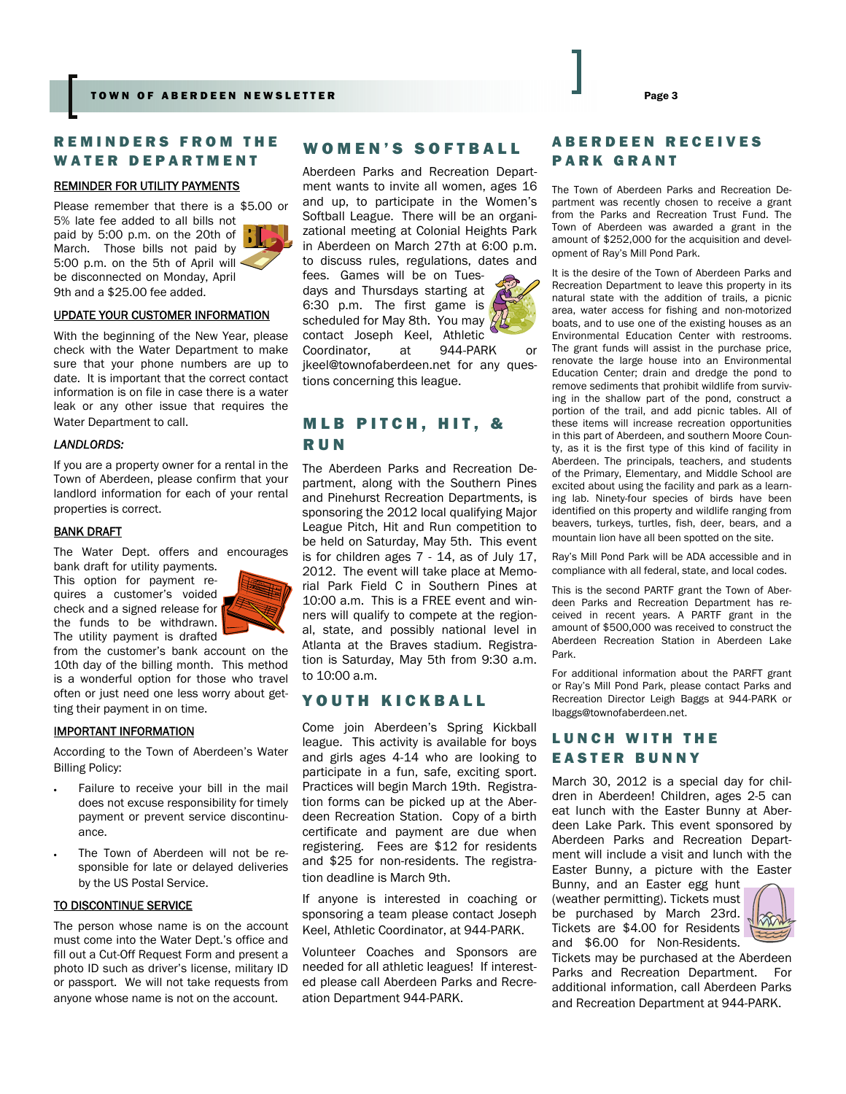### REMINDERS FROM THE WATER DEPARTMENT

#### REMINDER FOR UTILITY PAYMENTS

Please remember that there is a \$5.00 or 5% late fee added to all bills not paid by 5:00 p.m. on the 20th of March. Those bills not paid by 5:00 p.m. on the 5th of April will be disconnected on Monday, April 9th and a \$25.00 fee added.



#### UPDATE YOUR CUSTOMER INFORMATION

With the beginning of the New Year, please check with the Water Department to make sure that your phone numbers are up to date. It is important that the correct contact information is on file in case there is a water leak or any other issue that requires the Water Department to call.

#### *LANDLORDS:*

If you are a property owner for a rental in the Town of Aberdeen, please confirm that your landlord information for each of your rental properties is correct.

#### **BANK DRAFT**

The Water Dept. offers and encourages

bank draft for utility payments. This option for payment requires a customer's voided check and a signed release for the funds to be withdrawn. The utility payment is drafted



from the customer's bank account on the 10th day of the billing month. This method is a wonderful option for those who travel often or just need one less worry about getting their payment in on time.

#### IMPORTANT INFORMATION

According to the Town of Aberdeen's Water Billing Policy:

- Failure to receive your bill in the mail does not excuse responsibility for timely payment or prevent service discontinuance.
- The Town of Aberdeen will not be responsible for late or delayed deliveries by the US Postal Service.

#### TO DISCONTINUE SERVICE

The person whose name is on the account must come into the Water Dept.'s office and fill out a Cut-Off Request Form and present a photo ID such as driver's license, military ID or passport. We will not take requests from anyone whose name is not on the account.

# WOMEN'S SOFTBALL

Aberdeen Parks and Recreation Department wants to invite all women, ages 16 and up, to participate in the Women's Softball League. There will be an organizational meeting at Colonial Heights Park in Aberdeen on March 27th at 6:00 p.m. to discuss rules, regulations, dates and fees. Games will be on Tuesdays and Thursdays starting at 6:30 p.m. The first game is scheduled for May 8th. You may contact Joseph Keel, Athletic Coordinator, at 944-PARK or [jkeel@townofaberdeen.net](mailto:jkeel@townofaberdeen.net) for any questions concerning this league.

# MLB PITCH, HIT, & RUN

The Aberdeen Parks and Recreation Department, along with the Southern Pines and Pinehurst Recreation Departments, is sponsoring the 2012 local qualifying Major League Pitch, Hit and Run competition to be held on Saturday, May 5th. This event is for children ages 7 - 14, as of July 17, 2012. The event will take place at Memorial Park Field C in Southern Pines at 10:00 a.m. This is a FREE event and winners will qualify to compete at the regional, state, and possibly national level in Atlanta at the Braves stadium. Registration is Saturday, May 5th from 9:30 a.m. to 10:00 a.m.

#### YOUTH KICKBALL

Come join Aberdeen's Spring Kickball league. This activity is available for boys and girls ages 4-14 who are looking to participate in a fun, safe, exciting sport. Practices will begin March 19th. Registration forms can be picked up at the Aberdeen Recreation Station. Copy of a birth certificate and payment are due when registering. Fees are \$12 for residents and \$25 for non-residents. The registration deadline is March 9th.

If anyone is interested in coaching or sponsoring a team please contact Joseph Keel, Athletic Coordinator, at 944-PARK.

Volunteer Coaches and Sponsors are needed for all athletic leagues! If interested please call Aberdeen Parks and Recreation Department 944-PARK.

# ABERDEEN RECEIVES PARK GRANT

The Town of Aberdeen Parks and Recreation Department was recently chosen to receive a grant from the Parks and Recreation Trust Fund. The Town of Aberdeen was awarded a grant in the amount of \$252,000 for the acquisition and development of Ray's Mill Pond Park.

It is the desire of the Town of Aberdeen Parks and Recreation Department to leave this property in its natural state with the addition of trails, a picnic area, water access for fishing and non-motorized boats, and to use one of the existing houses as an Environmental Education Center with restrooms. The grant funds will assist in the purchase price, renovate the large house into an Environmental Education Center; drain and dredge the pond to remove sediments that prohibit wildlife from surviving in the shallow part of the pond, construct a portion of the trail, and add picnic tables. All of these items will increase recreation opportunities in this part of Aberdeen, and southern Moore County, as it is the first type of this kind of facility in Aberdeen. The principals, teachers, and students of the Primary, Elementary, and Middle School are excited about using the facility and park as a learning lab. Ninety-four species of birds have been identified on this property and wildlife ranging from beavers, turkeys, turtles, fish, deer, bears, and a mountain lion have all been spotted on the site.

Ray's Mill Pond Park will be ADA accessible and in compliance with all federal, state, and local codes.

This is the second PARTF grant the Town of Aberdeen Parks and Recreation Department has received in recent years. A PARTF grant in the amount of \$500,000 was received to construct the Aberdeen Recreation Station in Aberdeen Lake Park.

For additional information about the PARFT grant or Ray's Mill Pond Park, please contact Parks and Recreation Director Leigh Baggs at 944-PARK or lbaggs@townofaberdeen.net.

# LUNCH WITH THE EASTER BUNNY

March 30, 2012 is a special day for children in Aberdeen! Children, ages 2-5 can eat lunch with the Easter Bunny at Aberdeen Lake Park. This event sponsored by Aberdeen Parks and Recreation Department will include a visit and lunch with the Easter Bunny, a picture with the Easter

Bunny, and an Easter egg hunt (weather permitting). Tickets must be purchased by March 23rd. Tickets are \$4.00 for Residents and \$6.00 for Non-Residents.



Tickets may be purchased at the Aberdeen Parks and Recreation Department. For additional information, call Aberdeen Parks and Recreation Department at 944-PARK.